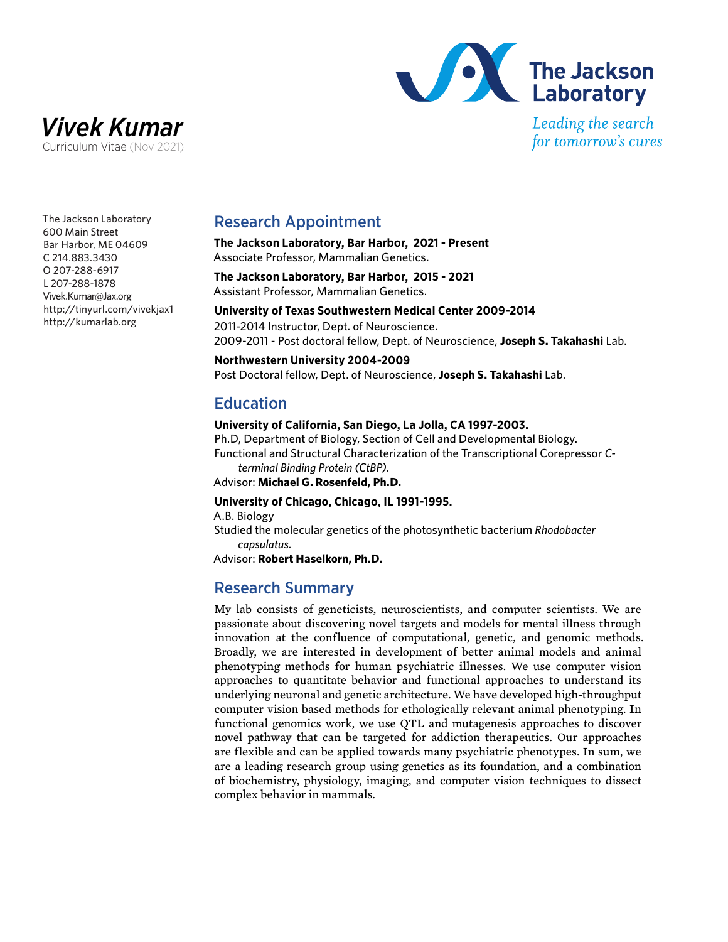



for tomorrow's cures

The Jackson Laboratory 600 Main Street Bar Harbor, ME 04609 C 214.883.3430 O 207-288-6917 L 207-288-1878 Vivek.Kumar@Jax.org http://tinyurl.com/vivekjax1 http://kumarlab.org

### Research Appointment

**The Jackson Laboratory, Bar Harbor, 2021 - Present** Associate Professor, Mammalian Genetics.

**The Jackson Laboratory, Bar Harbor, 2015 - 2021** Assistant Professor, Mammalian Genetics.

**University of Texas Southwestern Medical Center 2009-2014** 2011-2014 Instructor, Dept. of Neuroscience. 2009-2011 - Post doctoral fellow, Dept. of Neuroscience, **Joseph S. Takahashi** Lab.

**Northwestern University 2004-2009** Post Doctoral fellow, Dept. of Neuroscience, **Joseph S. Takahashi** Lab.

## Education

#### **University of California, San Diego, La Jolla, CA 1997-2003.**

Ph.D, Department of Biology, Section of Cell and Developmental Biology. Functional and Structural Characterization of the Transcriptional Corepressor *Cterminal Binding Protein (CtBP).*

Advisor: **Michael G. Rosenfeld, Ph.D.**

#### **University of Chicago, Chicago, IL 1991-1995.**

A.B. Biology

Studied the molecular genetics of the photosynthetic bacterium *Rhodobacter capsulatus.*

Advisor: **Robert Haselkorn, Ph.D.**

# Research Summary

My lab consists of geneticists, neuroscientists, and computer scientists. We are passionate about discovering novel targets and models for mental illness through innovation at the confluence of computational, genetic, and genomic methods. Broadly, we are interested in development of better animal models and animal phenotyping methods for human psychiatric illnesses. We use computer vision approaches to quantitate behavior and functional approaches to understand its underlying neuronal and genetic architecture. We have developed high-throughput computer vision based methods for ethologically relevant animal phenotyping. In functional genomics work, we use QTL and mutagenesis approaches to discover novel pathway that can be targeted for addiction therapeutics. Our approaches are flexible and can be applied towards many psychiatric phenotypes. In sum, we are a leading research group using genetics as its foundation, and a combination of biochemistry, physiology, imaging, and computer vision techniques to dissect complex behavior in mammals.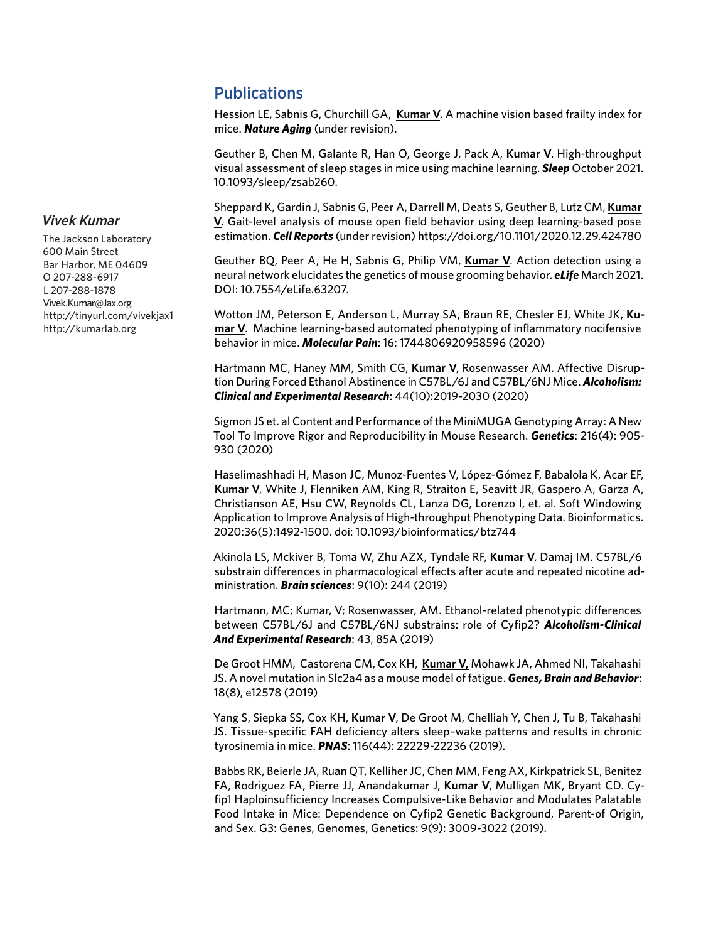# **Publications**

Hession LE, Sabnis G, Churchill GA, **Kumar V**. A machine vision based frailty index for mice. *Nature Aging* (under revision).

Geuther B, Chen M, Galante R, Han O, George J, Pack A, **Kumar V**. High-throughput visual assessment of sleep stages in mice using machine learning. *Sleep* October 2021. 10.1093/sleep/zsab260.

Sheppard K, Gardin J, Sabnis G, Peer A, Darrell M, Deats S, Geuther B, Lutz CM, **Kumar V**. Gait-level analysis of mouse open field behavior using deep learning-based pose estimation. *Cell Reports* (under revision) https://doi.org/10.1101/2020.12.29.424780

Geuther BQ, Peer A, He H, Sabnis G, Philip VM, **Kumar V**. Action detection using a neural network elucidates the genetics of mouse grooming behavior. *eLife* March 2021. DOI: 10.7554/eLife.63207.

Wotton JM, Peterson E, Anderson L, Murray SA, Braun RE, Chesler EJ, White JK, **Kumar V**. Machine learning-based automated phenotyping of inflammatory nocifensive behavior in mice. *Molecular Pain*: 16: 1744806920958596 (2020)

Hartmann MC, Haney MM, Smith CG, **Kumar V**, Rosenwasser AM. Affective Disruption During Forced Ethanol Abstinence in C57BL/6J and C57BL/6NJ Mice. *Alcoholism: Clinical and Experimental Research*: 44(10):2019-2030 (2020)

Sigmon JS et. al Content and Performance of the MiniMUGA Genotyping Array: A New Tool To Improve Rigor and Reproducibility in Mouse Research. *Genetics*: 216(4): 905- 930 (2020)

Haselimashhadi H, Mason JC, Munoz-Fuentes V, López-Gómez F, Babalola K, Acar EF, **Kumar V**, White J, Flenniken AM, King R, Straiton E, Seavitt JR, Gaspero A, Garza A, Christianson AE, Hsu CW, Reynolds CL, Lanza DG, Lorenzo I, et. al. Soft Windowing Application to Improve Analysis of High-throughput Phenotyping Data. Bioinformatics. 2020:36(5):1492-1500. doi: 10.1093/bioinformatics/btz744

Akinola LS, Mckiver B, Toma W, Zhu AZX, Tyndale RF, **Kumar V**, Damaj IM. C57BL/6 substrain differences in pharmacological effects after acute and repeated nicotine administration. *Brain sciences*: 9(10): 244 (2019)

Hartmann, MC; Kumar, V; Rosenwasser, AM. Ethanol-related phenotypic differences between C57BL/6J and C57BL/6NJ substrains: role of Cyfip2? *Alcoholism-Clinical And Experimental Research*: 43, 85A (2019)

De Groot HMM, Castorena CM, Cox KH, **Kumar V,** Mohawk JA, Ahmed NI, Takahashi JS. A novel mutation in Slc2a4 as a mouse model of fatigue. *Genes, Brain and Behavior*: 18(8), e12578 (2019)

Yang S, Siepka SS, Cox KH, **Kumar V**, De Groot M, Chelliah Y, Chen J, Tu B, Takahashi JS. Tissue-specific FAH deficiency alters sleep–wake patterns and results in chronic tyrosinemia in mice. *PNAS*: 116(44): 22229-22236 (2019).

Babbs RK, Beierle JA, Ruan QT, Kelliher JC, Chen MM, Feng AX, Kirkpatrick SL, Benitez FA, Rodriguez FA, Pierre JJ, Anandakumar J, **Kumar V**, Mulligan MK, Bryant CD. Cyfip1 Haploinsufficiency Increases Compulsive-Like Behavior and Modulates Palatable Food Intake in Mice: Dependence on Cyfip2 Genetic Background, Parent-of Origin, and Sex. G3: Genes, Genomes, Genetics: 9(9): 3009-3022 (2019).

# *Vivek Kumar*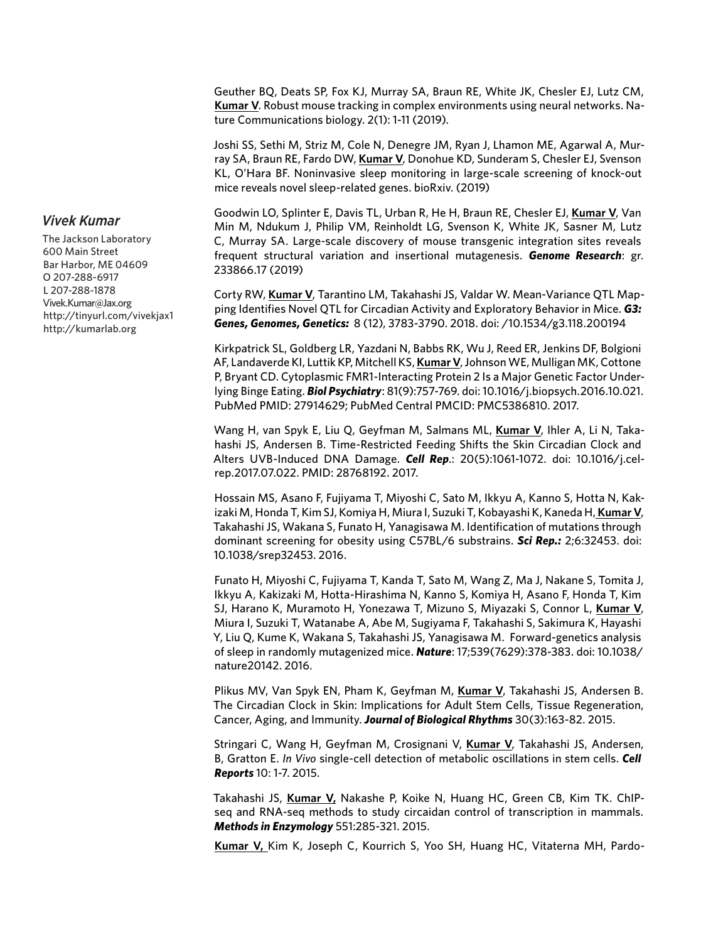Geuther BQ, Deats SP, Fox KJ, Murray SA, Braun RE, White JK, Chesler EJ, Lutz CM, **Kumar V**. Robust mouse tracking in complex environments using neural networks. Nature Communications biology. 2(1): 1-11 (2019).

Joshi SS, Sethi M, Striz M, Cole N, Denegre JM, Ryan J, Lhamon ME, Agarwal A, Murray SA, Braun RE, Fardo DW, **Kumar V**, Donohue KD, Sunderam S, Chesler EJ, Svenson KL, O'Hara BF. Noninvasive sleep monitoring in large-scale screening of knock-out mice reveals novel sleep-related genes. bioRxiv. (2019)

Goodwin LO, Splinter E, Davis TL, Urban R, He H, Braun RE, Chesler EJ, **Kumar V**, Van Min M, Ndukum J, Philip VM, Reinholdt LG, Svenson K, White JK, Sasner M, Lutz C, Murray SA. Large-scale discovery of mouse transgenic integration sites reveals frequent structural variation and insertional mutagenesis. *Genome Research*: gr. 233866.17 (2019)

Corty RW, **Kumar V**, Tarantino LM, Takahashi JS, Valdar W. Mean-Variance QTL Mapping Identifies Novel QTL for Circadian Activity and Exploratory Behavior in Mice. *G3: Genes, Genomes, Genetics:* 8 (12), 3783-3790. 2018. doi: /10.1534/g3.118.200194

Kirkpatrick SL, Goldberg LR, Yazdani N, Babbs RK, Wu J, Reed ER, Jenkins DF, Bolgioni AF, Landaverde KI, Luttik KP, Mitchell KS, **Kumar V**, Johnson WE, Mulligan MK, Cottone P, Bryant CD. Cytoplasmic FMR1-Interacting Protein 2 Is a Major Genetic Factor Underlying Binge Eating. *Biol Psychiatry*: 81(9):757-769. doi: 10.1016/j.biopsych.2016.10.021. PubMed PMID: 27914629; PubMed Central PMCID: PMC5386810. 2017.

Wang H, van Spyk E, Liu Q, Geyfman M, Salmans ML, **Kumar V**, Ihler A, Li N, Takahashi JS, Andersen B. Time-Restricted Feeding Shifts the Skin Circadian Clock and Alters UVB-Induced DNA Damage. *Cell Rep*.: 20(5):1061-1072. doi: 10.1016/j.celrep.2017.07.022. PMID: 28768192. 2017.

Hossain MS, Asano F, Fujiyama T, Miyoshi C, Sato M, Ikkyu A, Kanno S, Hotta N, Kakizaki M, Honda T, Kim SJ, Komiya H, Miura I, Suzuki T, Kobayashi K, Kaneda H, **Kumar V**, Takahashi JS, Wakana S, Funato H, Yanagisawa M. Identification of mutations through dominant screening for obesity using C57BL/6 substrains. *Sci Rep.:* 2;6:32453. doi: 10.1038/srep32453. 2016.

Funato H, Miyoshi C, Fujiyama T, Kanda T, Sato M, Wang Z, Ma J, Nakane S, Tomita J, Ikkyu A, Kakizaki M, Hotta-Hirashima N, Kanno S, Komiya H, Asano F, Honda T, Kim SJ, Harano K, Muramoto H, Yonezawa T, Mizuno S, Miyazaki S, Connor L, **Kumar V**, Miura I, Suzuki T, Watanabe A, Abe M, Sugiyama F, Takahashi S, Sakimura K, Hayashi Y, Liu Q, Kume K, Wakana S, Takahashi JS, Yanagisawa M. Forward-genetics analysis of sleep in randomly mutagenized mice. *Nature*: 17;539(7629):378-383. doi: 10.1038/ nature20142. 2016.

Plikus MV, Van Spyk EN, Pham K, Geyfman M, **Kumar V**, Takahashi JS, Andersen B. The Circadian Clock in Skin: Implications for Adult Stem Cells, Tissue Regeneration, Cancer, Aging, and Immunity. *Journal of Biological Rhythms* 30(3):163-82. 2015.

Stringari C, Wang H, Geyfman M, Crosignani V, **Kumar V**, Takahashi JS, Andersen, B, Gratton E. *In Vivo* single-cell detection of metabolic oscillations in stem cells. *Cell Reports* 10: 1-7. 2015.

Takahashi JS, **Kumar V,** Nakashe P, Koike N, Huang HC, Green CB, Kim TK. ChIPseq and RNA-seq methods to study circaidan control of transcription in mammals. *Methods in Enzymology* 551:285-321. 2015.

**Kumar V,** Kim K, Joseph C, Kourrich S, Yoo SH, Huang HC, Vitaterna MH, Pardo-

*Vivek Kumar*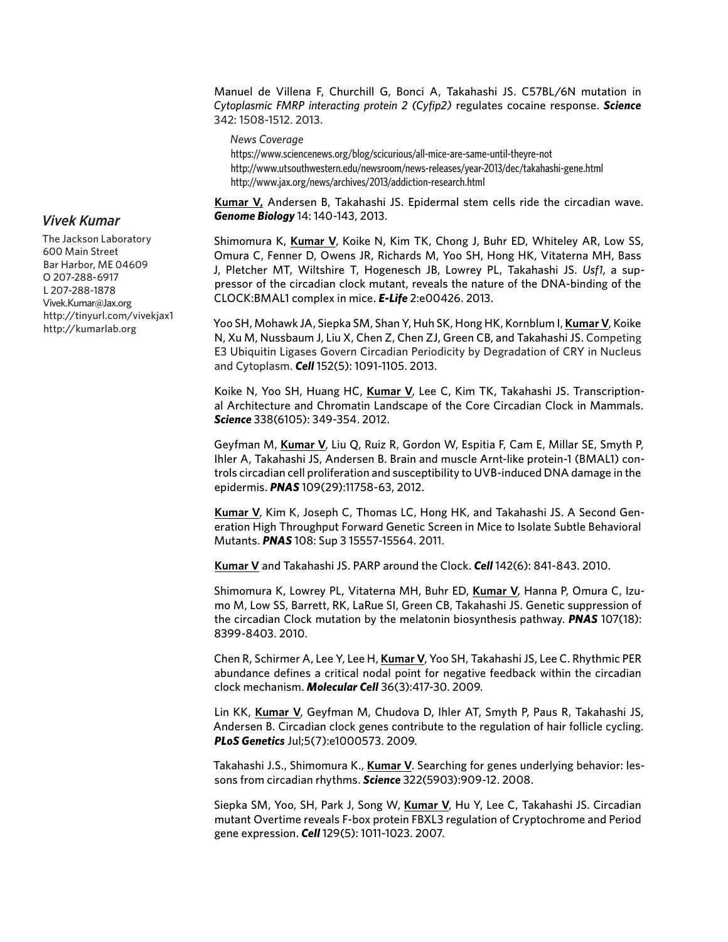Manuel de Villena F, Churchill G, Bonci A, Takahashi JS. C57BL/6N mutation in *Cytoplasmic FMRP interacting protein 2 (Cyfip2)* regulates cocaine response. *Science*  342: 1508-1512. 2013.

*News Coverage*

https://www.sciencenews.org/blog/scicurious/all-mice-are-same-until-theyre-not http://www.utsouthwestern.edu/newsroom/news-releases/year-2013/dec/takahashi-gene.html http://www.jax.org/news/archives/2013/addiction-research.html

**Kumar V,** Andersen B, Takahashi JS. Epidermal stem cells ride the circadian wave. *Genome Biology* 14: 140-143, 2013.

Shimomura K, **Kumar V**, Koike N, Kim TK, Chong J, Buhr ED, Whiteley AR, Low SS, Omura C, Fenner D, Owens JR, Richards M, Yoo SH, Hong HK, Vitaterna MH, Bass J, Pletcher MT, Wiltshire T, Hogenesch JB, Lowrey PL, Takahashi JS. *Usf1*, a suppressor of the circadian clock mutant, reveals the nature of the DNA-binding of the CLOCK:BMAL1 complex in mice. *E-Life* 2:e00426. 2013.

Yoo SH, Mohawk JA, Siepka SM, Shan Y, Huh SK, Hong HK, Kornblum I, **Kumar V**, Koike N, Xu M, Nussbaum J, Liu X, Chen Z, Chen ZJ, Green CB, and Takahashi JS. Competing E3 Ubiquitin Ligases Govern Circadian Periodicity by Degradation of CRY in Nucleus and Cytoplasm. *Cell* 152(5): 1091-1105. 2013.

Koike N, Yoo SH, Huang HC, **Kumar V**, Lee C, Kim TK, Takahashi JS. Transcriptional Architecture and Chromatin Landscape of the Core Circadian Clock in Mammals. *Science* 338(6105): 349-354. 2012.

Geyfman M, **Kumar V**, Liu Q, Ruiz R, Gordon W, Espitia F, Cam E, Millar SE, Smyth P, Ihler A, Takahashi JS, Andersen B. Brain and muscle Arnt-like protein-1 (BMAL1) controls circadian cell proliferation and susceptibility to UVB-induced DNA damage in the epidermis. *PNAS* 109(29):11758-63, 2012.

**Kumar V**, Kim K, Joseph C, Thomas LC, Hong HK, and Takahashi JS. A Second Generation High Throughput Forward Genetic Screen in Mice to Isolate Subtle Behavioral Mutants. *PNAS* 108: Sup 3 15557-15564. 2011.

**Kumar V** and Takahashi JS. PARP around the Clock. *Cell* 142(6): 841-843. 2010.

Shimomura K, Lowrey PL, Vitaterna MH, Buhr ED, **Kumar V**, Hanna P, Omura C, Izumo M, Low SS, Barrett, RK, LaRue SI, Green CB, Takahashi JS. Genetic suppression of the circadian Clock mutation by the melatonin biosynthesis pathway. *PNAS* 107(18): 8399-8403. 2010.

Chen R, Schirmer A, Lee Y, Lee H, **Kumar V**, Yoo SH, Takahashi JS, Lee C. Rhythmic PER abundance defines a critical nodal point for negative feedback within the circadian clock mechanism. *Molecular Cell* 36(3):417-30. 2009.

Lin KK, **Kumar V**, Geyfman M, Chudova D, Ihler AT, Smyth P, Paus R, Takahashi JS, Andersen B. Circadian clock genes contribute to the regulation of hair follicle cycling. *PLoS Genetics* Jul;5(7):e1000573. 2009.

Takahashi J.S., Shimomura K., **Kumar V**. Searching for genes underlying behavior: lessons from circadian rhythms. *Science* 322(5903):909-12. 2008.

Siepka SM, Yoo, SH, Park J, Song W, **Kumar V**, Hu Y, Lee C, Takahashi JS. Circadian mutant Overtime reveals F-box protein FBXL3 regulation of Cryptochrome and Period gene expression. *Cell* 129(5): 1011-1023. 2007.

#### *Vivek Kumar*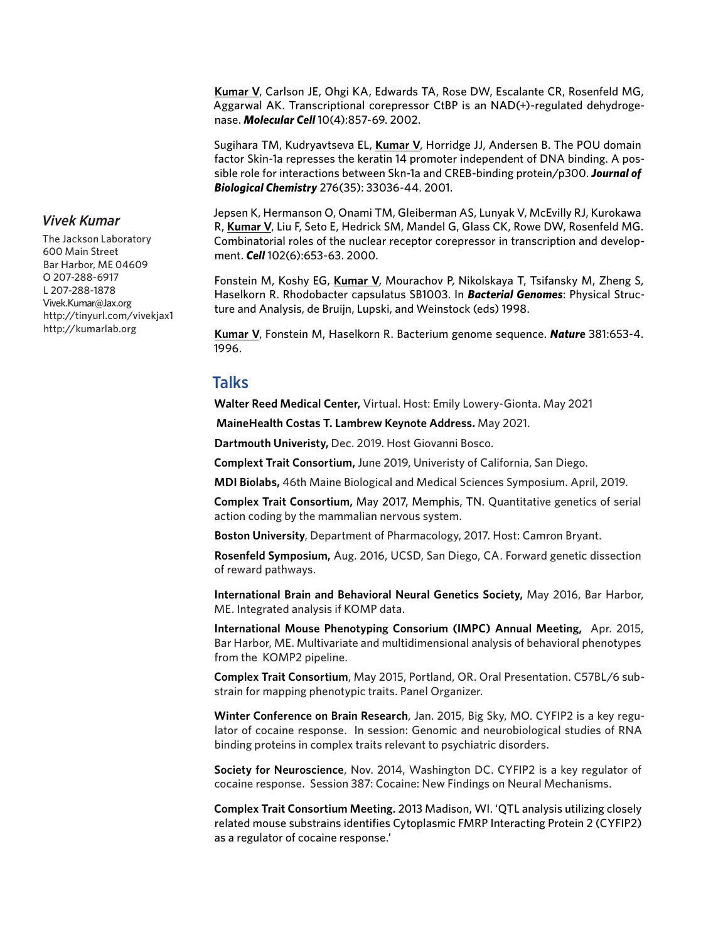**Kumar V**, Carlson JE, Ohgi KA, Edwards TA, Rose DW, Escalante CR, Rosenfeld MG, Aggarwal AK. Transcriptional corepressor CtBP is an NAD(+)-regulated dehydrogenase. *Molecular Cell* 10(4):857-69. 2002.

Sugihara TM, Kudryavtseva EL, **Kumar V**, Horridge JJ, Andersen B. The POU domain factor Skin-1a represses the keratin 14 promoter independent of DNA binding. A possible role for interactions between Skn-1a and CREB-binding protein/p300. *Journal of Biological Chemistry* 276(35): 33036-44. 2001.

Jepsen K, Hermanson O, Onami TM, Gleiberman AS, Lunyak V, McEvilly RJ, Kurokawa R, **Kumar V**, Liu F, Seto E, Hedrick SM, Mandel G, Glass CK, Rowe DW, Rosenfeld MG. Combinatorial roles of the nuclear receptor corepressor in transcription and development. *Cell* 102(6):653-63. 2000.

Fonstein M, Koshy EG, **Kumar V**, Mourachov P, Nikolskaya T, Tsifansky M, Zheng S, Haselkorn R. Rhodobacter capsulatus SB1003. In *Bacterial Genomes*: Physical Structure and Analysis, de Bruijn, Lupski, and Weinstock (eds) 1998.

**Kumar V**, Fonstein M, Haselkorn R. Bacterium genome sequence. *Nature* 381:653-4. 1996.

### Talks

**Walter Reed Medical Center,** Virtual. Host: Emily Lowery-Gionta. May 2021

 **MaineHealth Costas T. Lambrew Keynote Address.** May 2021.

**Dartmouth Univeristy,** Dec. 2019. Host Giovanni Bosco.

**Complext Trait Consortium,** June 2019, Univeristy of California, San Diego.

**MDI Biolabs,** 46th Maine Biological and Medical Sciences Symposium. April, 2019.

**Complex Trait Consortium,** May 2017, Memphis, TN. Quantitative genetics of serial action coding by the mammalian nervous system.

**Boston University**, Department of Pharmacology, 2017. Host: Camron Bryant.

**Rosenfeld Symposium,** Aug. 2016, UCSD, San Diego, CA. Forward genetic dissection of reward pathways.

**International Brain and Behavioral Neural Genetics Society,** May 2016, Bar Harbor, ME. Integrated analysis if KOMP data.

**International Mouse Phenotyping Consorium (IMPC) Annual Meeting,** Apr. 2015, Bar Harbor, ME. Multivariate and multidimensional analysis of behavioral phenotypes from the KOMP2 pipeline.

**Complex Trait Consortium**, May 2015, Portland, OR. Oral Presentation. C57BL/6 substrain for mapping phenotypic traits. Panel Organizer.

**Winter Conference on Brain Research**, Jan. 2015, Big Sky, MO. CYFIP2 is a key regulator of cocaine response. In session: Genomic and neurobiological studies of RNA binding proteins in complex traits relevant to psychiatric disorders.

**Society for Neuroscience**, Nov. 2014, Washington DC. CYFIP2 is a key regulator of cocaine response. Session 387: Cocaine: New Findings on Neural Mechanisms.

**Complex Trait Consortium Meeting.** 2013 Madison, WI. 'QTL analysis utilizing closely related mouse substrains identifies Cytoplasmic FMRP Interacting Protein 2 (CYFIP2) as a regulator of cocaine response.'

#### *Vivek Kumar*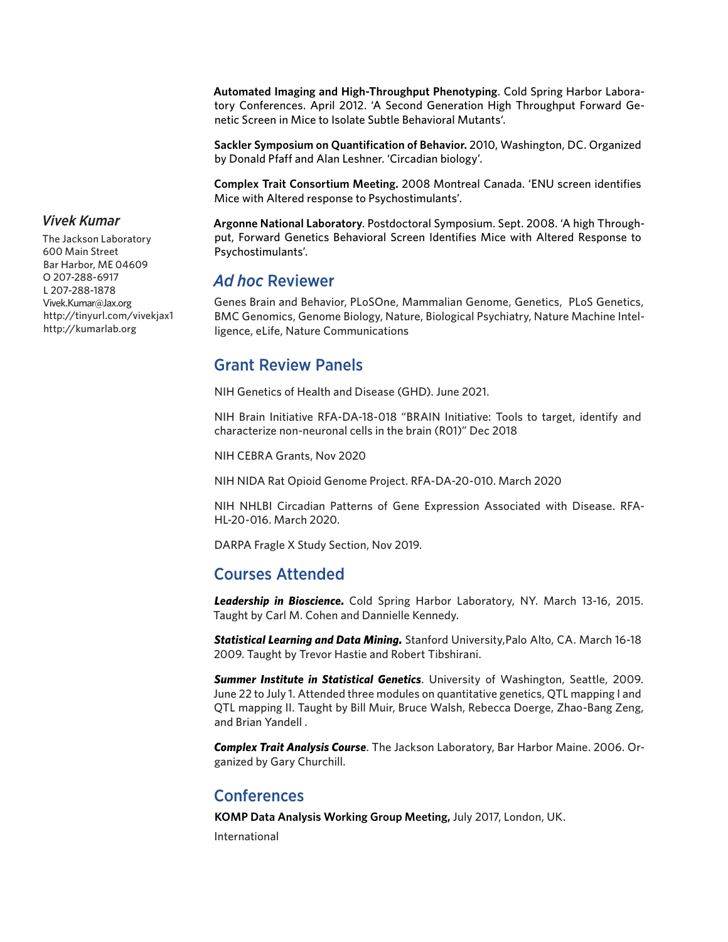**Automated Imaging and High-Throughput Phenotyping**. Cold Spring Harbor Laboratory Conferences. April 2012. 'A Second Generation High Throughput Forward Genetic Screen in Mice to Isolate Subtle Behavioral Mutants'.

**Sackler Symposium on Quantification of Behavior.** 2010, Washington, DC. Organized by Donald Pfaff and Alan Leshner. 'Circadian biology'.

**Complex Trait Consortium Meeting.** 2008 Montreal Canada. 'ENU screen identifies Mice with Altered response to Psychostimulants'.

**Argonne National Laboratory**. Postdoctoral Symposium. Sept. 2008. 'A high Throughput, Forward Genetics Behavioral Screen Identifies Mice with Altered Response to Psychostimulants'.

## *Ad hoc* Reviewer

Genes Brain and Behavior, PLoSOne, Mammalian Genome, Genetics, PLoS Genetics, BMC Genomics, Genome Biology, Nature, Biological Psychiatry, Nature Machine Intelligence, eLife, Nature Communications

# Grant Review Panels

NIH Genetics of Health and Disease (GHD). June 2021.

NIH Brain Initiative RFA-DA-18-018 "BRAIN Initiative: Tools to target, identify and characterize non-neuronal cells in the brain (R01)" Dec 2018

NIH CEBRA Grants, Nov 2020

NIH NIDA Rat Opioid Genome Project. RFA-DA-20-010. March 2020

NIH NHLBI Circadian Patterns of Gene Expression Associated with Disease. RFA-HL-20-016. March 2020.

DARPA Fragle X Study Section, Nov 2019.

# Courses Attended

*Leadership in Bioscience.* Cold Spring Harbor Laboratory, NY. March 13-16, 2015. Taught by Carl M. Cohen and Dannielle Kennedy.

*Statistical Learning and Data Mining.* Stanford University,Palo Alto, CA. March 16-18 2009. Taught by Trevor Hastie and Robert Tibshirani.

*Summer Institute in Statistical Genetics*. University of Washington, Seattle, 2009. June 22 to July 1. Attended three modules on quantitative genetics, QTL mapping I and QTL mapping II. Taught by Bill Muir, Bruce Walsh, Rebecca Doerge, Zhao-Bang Zeng, and Brian Yandell .

*Complex Trait Analysis Course*. The Jackson Laboratory, Bar Harbor Maine. 2006. Organized by Gary Churchill.

# Conferences

**KOMP Data Analysis Working Group Meeting,** July 2017, London, UK.

International

## *Vivek Kumar*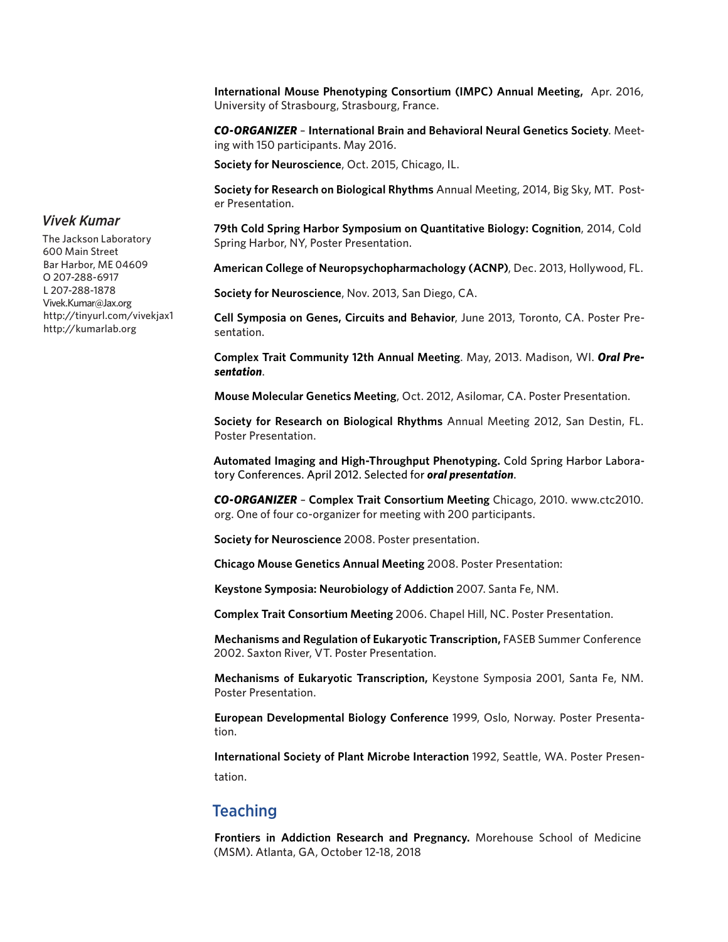**International Mouse Phenotyping Consortium (IMPC) Annual Meeting,** Apr. 2016, University of Strasbourg, Strasbourg, France.

*CO-ORGANIZER* – **International Brain and Behavioral Neural Genetics Society**. Meeting with 150 participants. May 2016.

**Society for Neuroscience**, Oct. 2015, Chicago, IL.

**Society for Research on Biological Rhythms** Annual Meeting, 2014, Big Sky, MT. Poster Presentation.

**79th Cold Spring Harbor Symposium on Quantitative Biology: Cognition**, 2014, Cold Spring Harbor, NY, Poster Presentation.

**American College of Neuropsychopharmachology (ACNP)**, Dec. 2013, Hollywood, FL.

**Society for Neuroscience**, Nov. 2013, San Diego, CA.

**Cell Symposia on Genes, Circuits and Behavior**, June 2013, Toronto, CA. Poster Presentation.

**Complex Trait Community 12th Annual Meeting**. May, 2013. Madison, WI. *Oral Presentation*.

**Mouse Molecular Genetics Meeting**, Oct. 2012, Asilomar, CA. Poster Presentation.

**Society for Research on Biological Rhythms** Annual Meeting 2012, San Destin, FL. Poster Presentation.

**Automated Imaging and High-Throughput Phenotyping.** Cold Spring Harbor Laboratory Conferences. April 2012. Selected for *oral presentation*.

*CO-ORGANIZER* – **Complex Trait Consortium Meeting** Chicago, 2010. www.ctc2010. org. One of four co-organizer for meeting with 200 participants.

**Society for Neuroscience** 2008. Poster presentation.

**Chicago Mouse Genetics Annual Meeting** 2008. Poster Presentation:

**Keystone Symposia: Neurobiology of Addiction** 2007. Santa Fe, NM.

**Complex Trait Consortium Meeting** 2006. Chapel Hill, NC. Poster Presentation.

**Mechanisms and Regulation of Eukaryotic Transcription,** FASEB Summer Conference 2002. Saxton River, VT. Poster Presentation.

**Mechanisms of Eukaryotic Transcription,** Keystone Symposia 2001, Santa Fe, NM. Poster Presentation.

**European Developmental Biology Conference** 1999, Oslo, Norway. Poster Presentation.

**International Society of Plant Microbe Interaction** 1992, Seattle, WA. Poster Presentation.

### **Teaching**

**Frontiers in Addiction Research and Pregnancy.** Morehouse School of Medicine (MSM). Atlanta, GA, October 12-18, 2018

The Jackson Laboratory 600 Main Street Bar Harbor, ME 04609 O 207-288-6917 L 207-288-1878 Vivek.Kumar@Jax.org http://tinyurl.com/vivekjax1 http://kumarlab.org

*Vivek Kumar*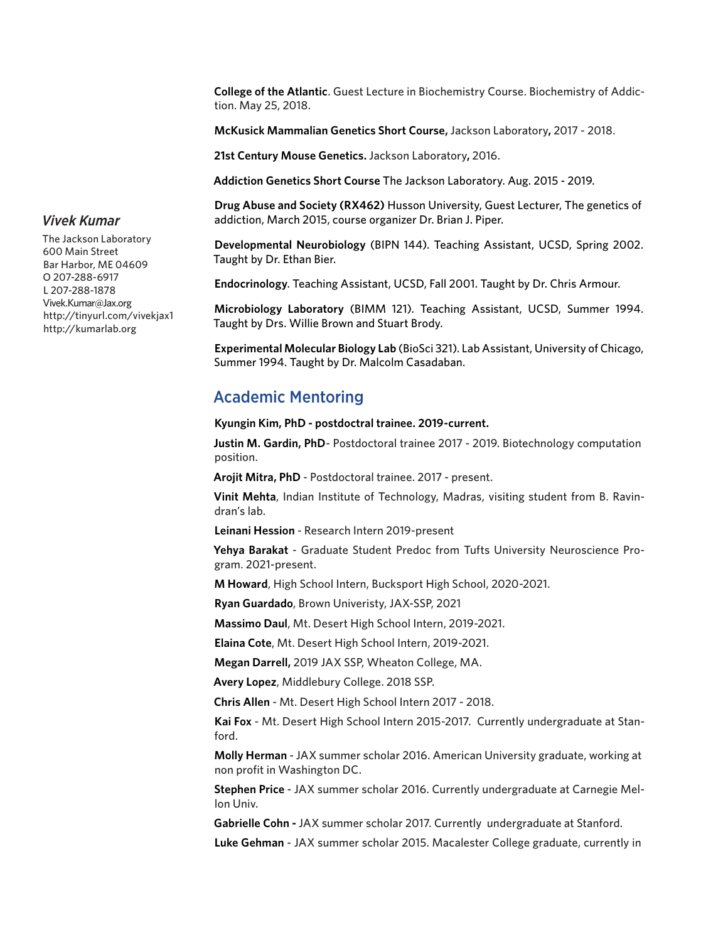**College of the Atlantic**. Guest Lecture in Biochemistry Course. Biochemistry of Addiction. May 25, 2018.

**McKusick Mammalian Genetics Short Course,** Jackson Laboratory**,** 2017 - 2018.

**21st Century Mouse Genetics.** Jackson Laboratory**,** 2016.

**Addiction Genetics Short Course** The Jackson Laboratory. Aug. 2015 - 2019.

**Drug Abuse and Society (RX462)** Husson University, Guest Lecturer, The genetics of addiction, March 2015, course organizer Dr. Brian J. Piper.

**Developmental Neurobiology** (BIPN 144). Teaching Assistant, UCSD, Spring 2002. Taught by Dr. Ethan Bier.

**Endocrinology**. Teaching Assistant, UCSD, Fall 2001. Taught by Dr. Chris Armour.

**Microbiology Laboratory** (BIMM 121). Teaching Assistant, UCSD, Summer 1994. Taught by Drs. Willie Brown and Stuart Brody.

**Experimental Molecular Biology Lab** (BioSci 321). Lab Assistant, University of Chicago, Summer 1994. Taught by Dr. Malcolm Casadaban.

## Academic Mentoring

**Kyungin Kim, PhD - postdoctral trainee. 2019-current.**

**Justin M. Gardin, PhD**- Postdoctoral trainee 2017 - 2019. Biotechnology computation position.

**Arojit Mitra, PhD** - Postdoctoral trainee. 2017 - present.

**Vinit Mehta**, Indian Institute of Technology, Madras, visiting student from B. Ravindran's lab.

**Leinani Hession** - Research Intern 2019-present

**Yehya Barakat** - Graduate Student Predoc from Tufts University Neuroscience Program. 2021-present.

**M Howard**, High School Intern, Bucksport High School, 2020-2021.

**Ryan Guardado**, Brown Univeristy, JAX-SSP, 2021

**Massimo Daul**, Mt. Desert High School Intern, 2019-2021.

**Elaina Cote**, Mt. Desert High School Intern, 2019-2021.

**Megan Darrell,** 2019 JAX SSP, Wheaton College, MA.

**Avery Lopez**, Middlebury College. 2018 SSP.

**Chris Allen** - Mt. Desert High School Intern 2017 - 2018.

**Kai Fox** - Mt. Desert High School Intern 2015-2017. Currently undergraduate at Stanford.

**Molly Herman** - JAX summer scholar 2016. American University graduate, working at non profit in Washington DC.

**Stephen Price** - JAX summer scholar 2016. Currently undergraduate at Carnegie Mellon Univ.

**Gabrielle Cohn -** JAX summer scholar 2017. Currently undergraduate at Stanford.

**Luke Gehman** - JAX summer scholar 2015. Macalester College graduate, currently in

#### The Jackson Laboratory 600 Main Street Bar Harbor, ME 04609 O 207-288-6917 L 207-288-1878 Vivek.Kumar@Jax.org http://tinyurl.com/vivekjax1 http://kumarlab.org

*Vivek Kumar*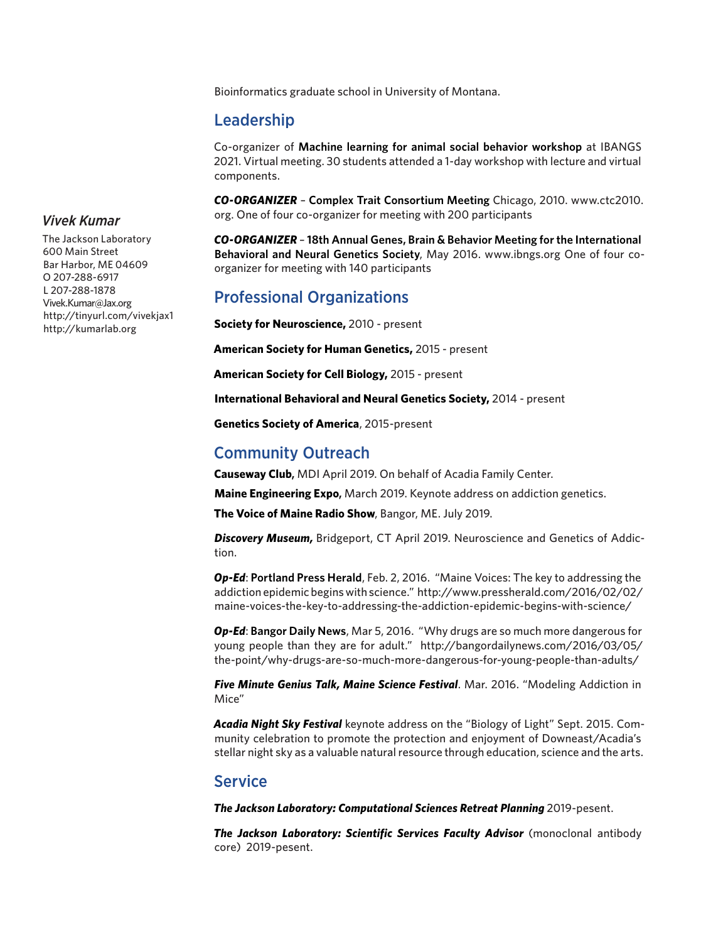Bioinformatics graduate school in University of Montana.

### Leadership

Co-organizer of **Machine learning for animal social behavior workshop** at IBANGS 2021. Virtual meeting. 30 students attended a 1-day workshop with lecture and virtual components.

*CO-ORGANIZER* – **Complex Trait Consortium Meeting** Chicago, 2010. www.ctc2010. org. One of four co-organizer for meeting with 200 participants

*CO-ORGANIZER* – **18th Annual Genes, Brain & Behavior Meeting for the International Behavioral and Neural Genetics Society**, May 2016. www.ibngs.org One of four coorganizer for meeting with 140 participants

# Professional Organizations

**Society for Neuroscience,** 2010 - present

**American Society for Human Genetics,** 2015 - present

**American Society for Cell Biology,** 2015 - present

**International Behavioral and Neural Genetics Society,** 2014 - present

**Genetics Society of America**, 2015-present

## Community Outreach

**Causeway Club,** MDI April 2019. On behalf of Acadia Family Center.

**Maine Engineering Expo,** March 2019. Keynote address on addiction genetics.

**The Voice of Maine Radio Show**, Bangor, ME. July 2019.

*Discovery Museum,* Bridgeport, CT April 2019. Neuroscience and Genetics of Addiction.

*Op-Ed*: **Portland Press Herald**, Feb. 2, 2016. "Maine Voices: The key to addressing the addiction epidemic begins with science." http://www.pressherald.com/2016/02/02/ maine-voices-the-key-to-addressing-the-addiction-epidemic-begins-with-science/

*Op-Ed*: **Bangor Daily News**, Mar 5, 2016. "Why drugs are so much more dangerous for young people than they are for adult." http://bangordailynews.com/2016/03/05/ the-point/why-drugs-are-so-much-more-dangerous-for-young-people-than-adults/

*Five Minute Genius Talk, Maine Science Festival*. Mar. 2016. "Modeling Addiction in Mice"

*Acadia Night Sky Festival* keynote address on the "Biology of Light" Sept. 2015. Community celebration to promote the protection and enjoyment of Downeast/Acadia's stellar night sky as a valuable natural resource through education, science and the arts.

#### **Service**

*The Jackson Laboratory: Computational Sciences Retreat Planning* 2019-pesent.

**The Jackson Laboratory: Scientific Services Faculty Advisor** (monoclonal antibody core) 2019-pesent.

### *Vivek Kumar*